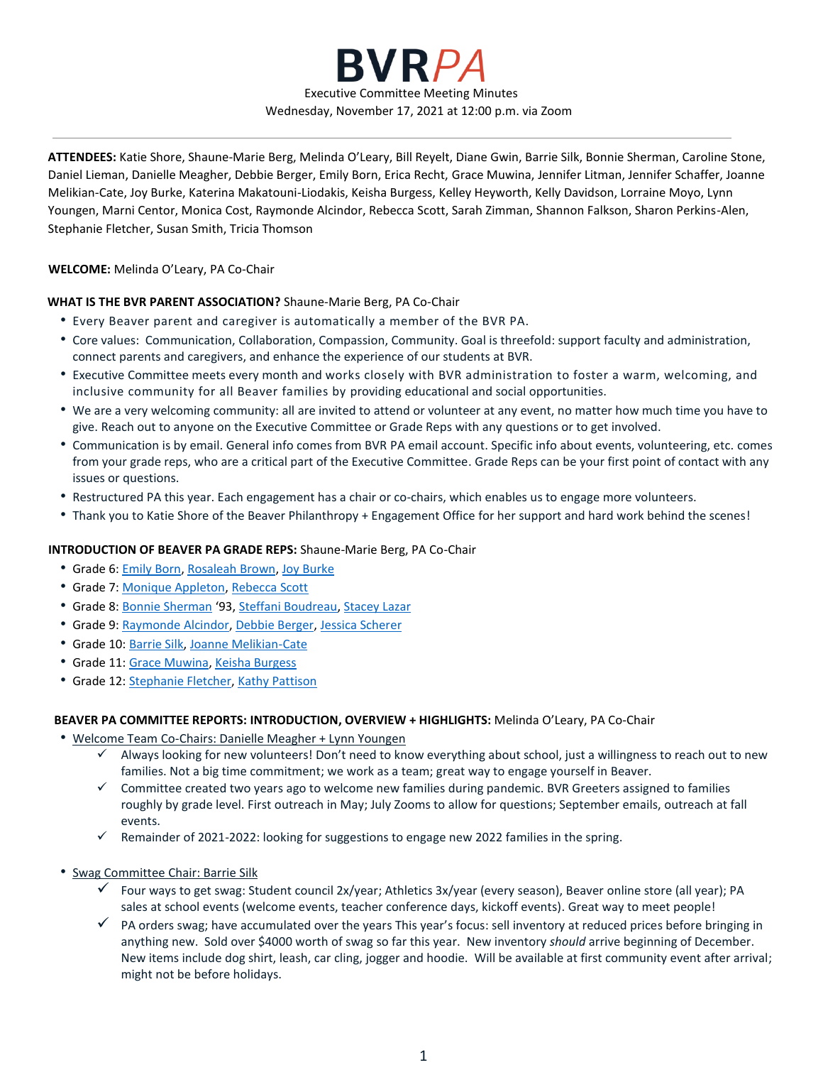

**ATTENDEES:** Katie Shore, Shaune-Marie Berg, Melinda O'Leary, Bill Reyelt, Diane Gwin, Barrie Silk, Bonnie Sherman, Caroline Stone, Daniel Lieman, Danielle Meagher, Debbie Berger, Emily Born, Erica Recht, Grace Muwina, Jennifer Litman, Jennifer Schaffer, Joanne Melikian-Cate, Joy Burke, Katerina Makatouni-Liodakis, Keisha Burgess, Kelley Heyworth, Kelly Davidson, Lorraine Moyo, Lynn Youngen, Marni Centor, Monica Cost, Raymonde Alcindor, Rebecca Scott, Sarah Zimman, Shannon Falkson, Sharon Perkins-Alen, Stephanie Fletcher, Susan Smith, Tricia Thomson

# **WELCOME:** Melinda O'Leary, PA Co-Chair

#### **WHAT IS THE BVR PARENT ASSOCIATION?** Shaune-Marie Berg, PA Co-Chair

- Every Beaver parent and caregiver is automatically a member of the BVR PA.
- Core values: Communication, Collaboration, Compassion, Community. Goal is threefold: support faculty and administration, connect parents and caregivers, and enhance the experience of our students at BVR.
- Executive Committee meets every month and works closely with BVR administration to foster a warm, welcoming, and inclusive community for all Beaver families by providing educational and social opportunities.
- We are a very welcoming community: all are invited to attend or volunteer at any event, no matter how much time you have to give. Reach out to anyone on the Executive Committee or Grade Reps with any questions or to get involved.
- Communication is by email. General info comes from BVR PA email account. Specific info about events, volunteering, etc. comes from your grade reps, who are a critical part of the Executive Committee. Grade Reps can be your first point of contact with any issues or questions.
- Restructured PA this year. Each engagement has a chair or co-chairs, which enables us to engage more volunteers.
- Thank you to Katie Shore of the Beaver Philanthropy + Engagement Office for her support and hard work behind the scenes!

#### **INTRODUCTION OF BEAVER PA GRADE REPS:** Shaune-Marie Berg, PA Co-Chair

- Grade 6: [Emily](mailto:emilypb23@gmail.com) Born[, Rosaleah Brown,](mailto:Brown.Rosaleah@gmail.com) [Joy Burke](mailto:joybarwickburke@gmail.com)
- Grade 7: [Monique Appleton,](mailto:monique.appleton@gmail.com) [Rebecca Scott](mailto:scott.rebecca@me.com)
- Grade 8: [Bonnie Sherman](mailto:bonnie_sherman@hotmail.com) '93, [Steffani Boudreau,](mailto:Steffaniboudreau@gmail.com) [Stacey Lazar](mailto:staceylazardesign@gmail.com)
- Grade 9: [Raymonde Alcindor,](mailto:mychris2010@yahoo.com) [Debbie Berger,](mailto:dnhberger@gmail.com) [Jessica Scherer](mailto:jascherer@mac.com)
- Grade 10: [Barrie Silk,](mailto:barrieksilk@gmail.com) [Joanne Melikian-Cate](mailto:melikiancate@me.com)
- Grade 11: [Grace Muwina,](mailto:muwinagrace@gmail.com) [Keisha Burgess](mailto:keishapburgess@gmail.com)
- Grade 12: [Stephanie Fletcher,](mailto:ss.fletcher@yahoo.com) [Kathy Pattison](mailto:kathy@thestricklers.org)

# **BEAVER PA COMMITTEE REPORTS: INTRODUCTION, OVERVIEW + HIGHLIGHTS:** Melinda O'Leary, PA Co-Chair

- Welcome Team Co-Chairs: Danielle Meagher + Lynn Youngen
	- $\checkmark$  Always looking for new volunteers! Don't need to know everything about school, just a willingness to reach out to new families. Not a big time commitment; we work as a team; great way to engage yourself in Beaver.
	- $\checkmark$  Committee created two years ago to welcome new families during pandemic. BVR Greeters assigned to families roughly by grade level. First outreach in May; July Zooms to allow for questions; September emails, outreach at fall events.
	- $\checkmark$  Remainder of 2021-2022: looking for suggestions to engage new 2022 families in the spring.
- Swag Committee Chair: Barrie Silk
	- Four ways to get swag: Student council 2x/year; Athletics 3x/year (every season), Beaver online store (all year); PA sales at school events (welcome events, teacher conference days, kickoff events). Great way to meet people!
	- $\checkmark$  PA orders swag; have accumulated over the years This year's focus: sell inventory at reduced prices before bringing in anything new. Sold over \$4000 worth of swag so far this year. New inventory *should* arrive beginning of December. New items include dog shirt, leash, car cling, jogger and hoodie. Will be available at first community event after arrival; might not be before holidays.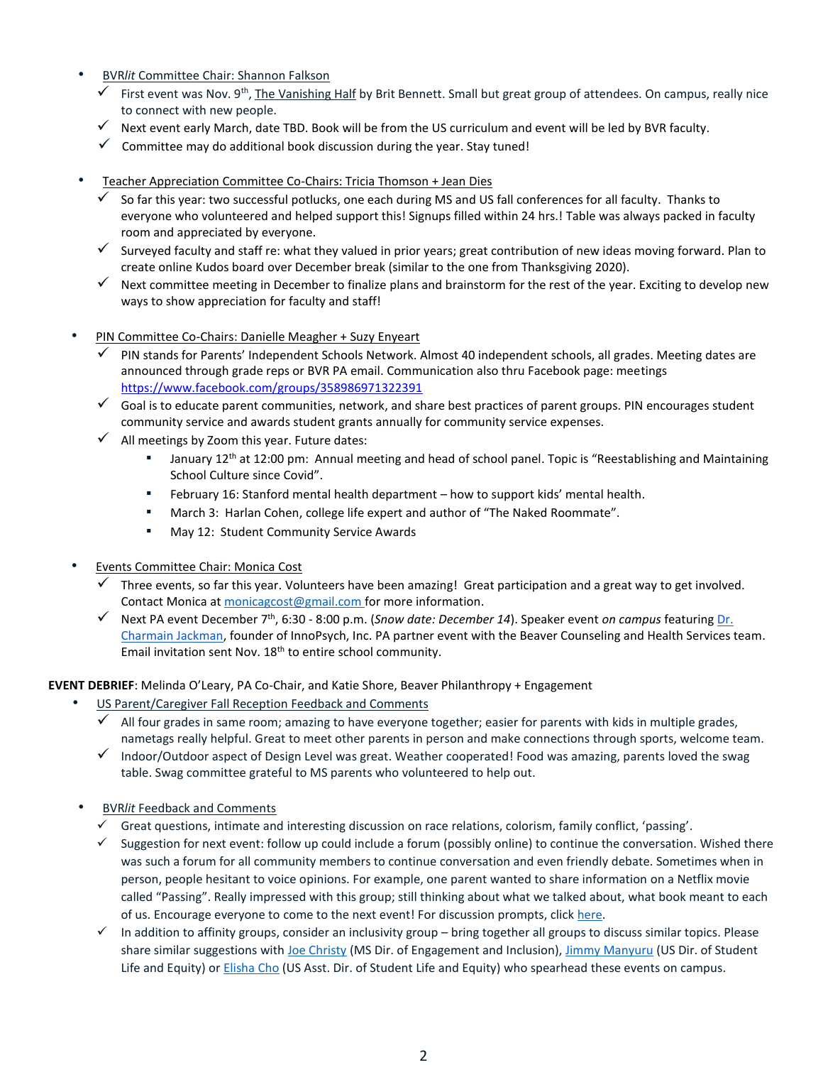- BVR*lit* Committee Chair: Shannon Falkson
	- $\checkmark$  First event was Nov. 9<sup>th</sup>, The Vanishing Half by Brit Bennett. Small but great group of attendees. On campus, really nice to connect with new people.
	- $\checkmark$  Next event early March, date TBD. Book will be from the US curriculum and event will be led by BVR faculty.
	- $\checkmark$  Committee may do additional book discussion during the year. Stay tuned!
- Teacher Appreciation Committee Co-Chairs: Tricia Thomson + Jean Dies
	- $\checkmark$  So far this year: two successful potlucks, one each during MS and US fall conferences for all faculty. Thanks to everyone who volunteered and helped support this! Signups filled within 24 hrs.! Table was always packed in faculty room and appreciated by everyone.
	- $\checkmark$  Surveyed faculty and staff re: what they valued in prior years; great contribution of new ideas moving forward. Plan to create online Kudos board over December break (similar to the one from Thanksgiving 2020).
	- Next committee meeting in December to finalize plans and brainstorm for the rest of the year. Exciting to develop new ways to show appreciation for faculty and staff!
- PIN Committee Co-Chairs: Danielle Meagher + Suzy Enyeart
	- $\checkmark$  PIN stands for Parents' Independent Schools Network. Almost 40 independent schools, all grades. Meeting dates are announced through grade reps or BVR PA email. Communication also thru Facebook page: meetings <https://www.facebook.com/groups/358986971322391>
	- $\checkmark$  Goal is to educate parent communities, network, and share best practices of parent groups. PIN encourages student community service and awards student grants annually for community service expenses.
	- $\checkmark$  All meetings by Zoom this year. Future dates:
		- January 12<sup>th</sup> at 12:00 pm: Annual meeting and head of school panel. Topic is "Reestablishing and Maintaining School Culture since Covid".
		- February 16: Stanford mental health department how to support kids' mental health.
		- March 3: Harlan Cohen, college life expert and author of "The Naked Roommate".
		- May 12: Student Community Service Awards
- Events Committee Chair: Monica Cost
	- Three events, so far this year. Volunteers have been amazing! Great participation and a great way to get involved. Contact Monica at [monicagcost@gmail.com](mailto:monicagcost@gmail.com) for more information.
	- Next PA event December 7 th , 6:30 8:00 p.m. (*Snow date: December 14*). Speaker event *on campus* featurin[g Dr.](https://www.drcharmainjackman.com/)  [Charmain Jackman,](https://www.drcharmainjackman.com/) founder of InnoPsych, Inc. PA partner event with the Beaver Counseling and Health Services team. Email invitation sent Nov. 18<sup>th</sup> to entire school community.

**EVENT DEBRIEF**: Melinda O'Leary, PA Co-Chair, and Katie Shore, Beaver Philanthropy + Engagement

- US Parent/Caregiver Fall Reception Feedback and Comments
	- All four grades in same room; amazing to have everyone together; easier for parents with kids in multiple grades, nametags really helpful. Great to meet other parents in person and make connections through sports, welcome team.
	- $\checkmark$  Indoor/Outdoor aspect of Design Level was great. Weather cooperated! Food was amazing, parents loved the swag table. Swag committee grateful to MS parents who volunteered to help out.
- BVR*lit* Feedback and Comments
	- $\checkmark$  Great questions, intimate and interesting discussion on race relations, colorism, family conflict, 'passing'.
	- $\checkmark$  Suggestion for next event: follow up could include a forum (possibly online) to continue the conversation. Wished there was such a forum for all community members to continue conversation and even friendly debate. Sometimes when in person, people hesitant to voice opinions. For example, one parent wanted to share information on a Netflix movie called "Passing". Really impressed with this group; still thinking about what we talked about, what book meant to each of us. Encourage everyone to come to the next event! For discussion prompts, click here.
	- $\checkmark$  In addition to affinity groups, consider an inclusivity group bring together all groups to discuss similar topics. Please share similar suggestions with [Joe Christy](mailto:jchristy@bcdschool.org) (MS Dir. of Engagement and Inclusion)[, Jimmy Manyuru](mailto:jmanyuru@bcdschool.org) (US Dir. of Student Life and Equity) or *Elisha Cho (US Asst. Dir. of Student Life and Equity) who spearhead these events on campus.*